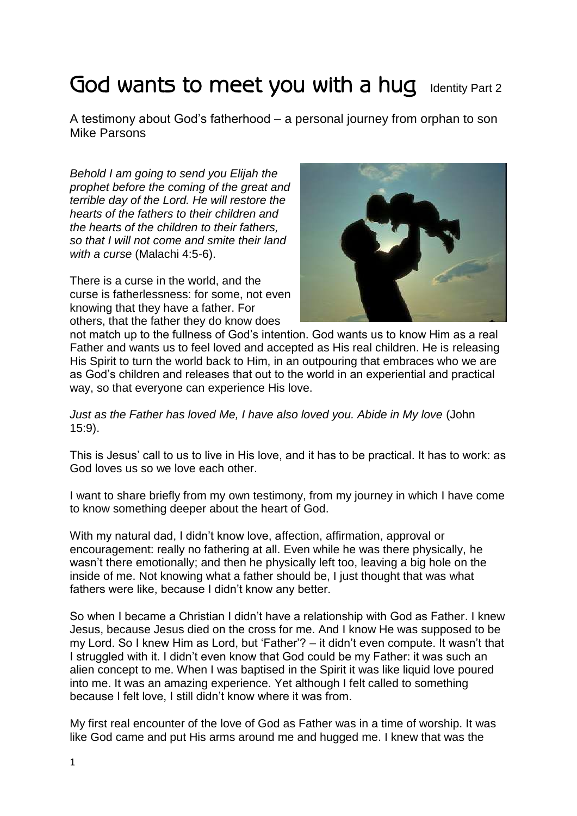## God wants to meet you with a hug Identity Part 2

A testimony about God's fatherhood – a personal journey from orphan to son Mike Parsons

*Behold I am going to send you Elijah the prophet before the coming of the great and terrible day of the Lord. He will restore the hearts of the fathers to their children and the hearts of the children to their fathers, so that I will not come and smite their land with a curse* (Malachi 4:5-6).

There is a curse in the world, and the curse is fatherlessness: for some, not even knowing that they have a father. For others, that the father they do know does



not match up to the fullness of God's intention. God wants us to know Him as a real Father and wants us to feel loved and accepted as His real children. He is releasing His Spirit to turn the world back to Him, in an outpouring that embraces who we are as God's children and releases that out to the world in an experiential and practical way, so that everyone can experience His love.

*Just as the Father has loved Me, I have also loved you. Abide in My love* (John 15:9).

This is Jesus' call to us to live in His love, and it has to be practical. It has to work: as God loves us so we love each other.

I want to share briefly from my own testimony, from my journey in which I have come to know something deeper about the heart of God.

With my natural dad, I didn't know love, affection, affirmation, approval or encouragement: really no fathering at all. Even while he was there physically, he wasn't there emotionally; and then he physically left too, leaving a big hole on the inside of me. Not knowing what a father should be, I just thought that was what fathers were like, because I didn't know any better.

So when I became a Christian I didn't have a relationship with God as Father. I knew Jesus, because Jesus died on the cross for me. And I know He was supposed to be my Lord. So I knew Him as Lord, but 'Father'? – it didn't even compute. It wasn't that I struggled with it. I didn't even know that God could be my Father: it was such an alien concept to me. When I was baptised in the Spirit it was like liquid love poured into me. It was an amazing experience. Yet although I felt called to something because I felt love, I still didn't know where it was from.

My first real encounter of the love of God as Father was in a time of worship. It was like God came and put His arms around me and hugged me. I knew that was the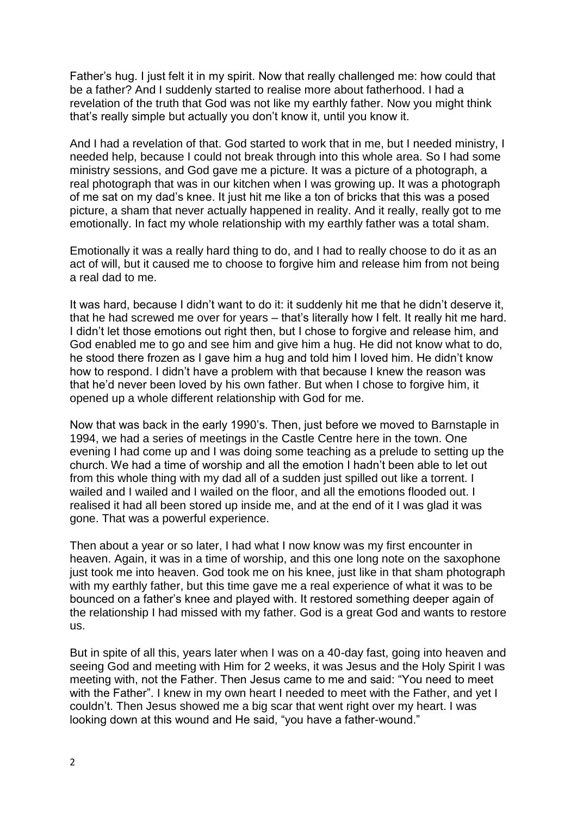Father's hug. I just felt it in my spirit. Now that really challenged me: how could that be a father? And I suddenly started to realise more about fatherhood. I had a revelation of the truth that God was not like my earthly father. Now you might think that's really simple but actually you don't know it, until you know it.

And I had a revelation of that. God started to work that in me, but I needed ministry, I needed help, because I could not break through into this whole area. So I had some ministry sessions, and God gave me a picture. It was a picture of a photograph, a real photograph that was in our kitchen when I was growing up. It was a photograph of me sat on my dad's knee. It just hit me like a ton of bricks that this was a posed picture, a sham that never actually happened in reality. And it really, really got to me emotionally. In fact my whole relationship with my earthly father was a total sham.

Emotionally it was a really hard thing to do, and I had to really choose to do it as an act of will, but it caused me to choose to forgive him and release him from not being a real dad to me.

It was hard, because I didn't want to do it: it suddenly hit me that he didn't deserve it, that he had screwed me over for years – that's literally how I felt. It really hit me hard. I didn't let those emotions out right then, but I chose to forgive and release him, and God enabled me to go and see him and give him a hug. He did not know what to do, he stood there frozen as I gave him a hug and told him I loved him. He didn't know how to respond. I didn't have a problem with that because I knew the reason was that he'd never been loved by his own father. But when I chose to forgive him, it opened up a whole different relationship with God for me.

Now that was back in the early 1990's. Then, just before we moved to Barnstaple in 1994, we had a series of meetings in the Castle Centre here in the town. One evening I had come up and I was doing some teaching as a prelude to setting up the church. We had a time of worship and all the emotion I hadn't been able to let out from this whole thing with my dad all of a sudden just spilled out like a torrent. I wailed and I wailed and I wailed on the floor, and all the emotions flooded out. I realised it had all been stored up inside me, and at the end of it I was glad it was gone. That was a powerful experience.

Then about a year or so later, I had what I now know was my first encounter in heaven. Again, it was in a time of worship, and this one long note on the saxophone just took me into heaven. God took me on his knee, just like in that sham photograph with my earthly father, but this time gave me a real experience of what it was to be bounced on a father's knee and played with. It restored something deeper again of the relationship I had missed with my father. God is a great God and wants to restore us.

But in spite of all this, years later when I was on a 40-day fast, going into heaven and seeing God and meeting with Him for 2 weeks, it was Jesus and the Holy Spirit I was meeting with, not the Father. Then Jesus came to me and said: "You need to meet with the Father". I knew in my own heart I needed to meet with the Father, and yet I couldn't. Then Jesus showed me a big scar that went right over my heart. I was looking down at this wound and He said, "you have a father-wound."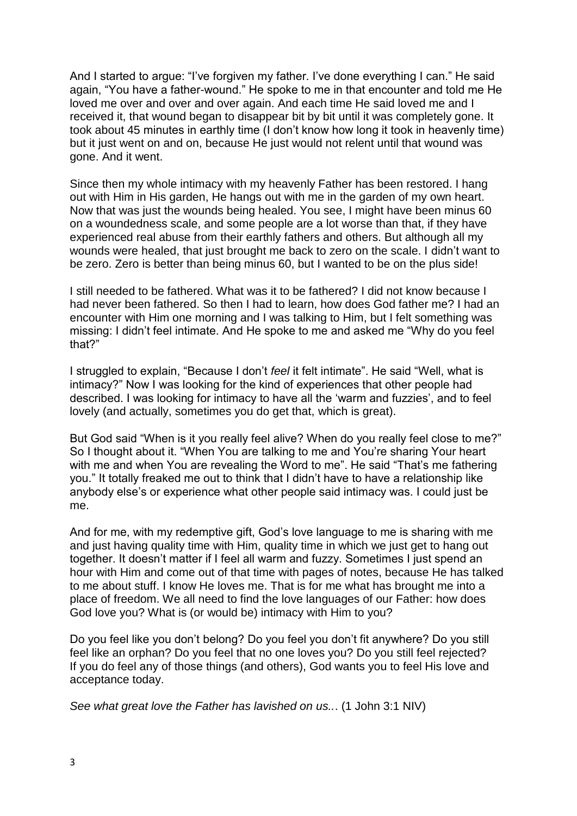And I started to argue: "I've forgiven my father. I've done everything I can." He said again, "You have a father-wound." He spoke to me in that encounter and told me He loved me over and over and over again. And each time He said loved me and I received it, that wound began to disappear bit by bit until it was completely gone. It took about 45 minutes in earthly time (I don't know how long it took in heavenly time) but it just went on and on, because He just would not relent until that wound was gone. And it went.

Since then my whole intimacy with my heavenly Father has been restored. I hang out with Him in His garden, He hangs out with me in the garden of my own heart. Now that was just the wounds being healed. You see, I might have been minus 60 on a woundedness scale, and some people are a lot worse than that, if they have experienced real abuse from their earthly fathers and others. But although all my wounds were healed, that just brought me back to zero on the scale. I didn't want to be zero. Zero is better than being minus 60, but I wanted to be on the plus side!

I still needed to be fathered. What was it to be fathered? I did not know because I had never been fathered. So then I had to learn, how does God father me? I had an encounter with Him one morning and I was talking to Him, but I felt something was missing: I didn't feel intimate. And He spoke to me and asked me "Why do you feel that?"

I struggled to explain, "Because I don't *feel* it felt intimate". He said "Well, what is intimacy?" Now I was looking for the kind of experiences that other people had described. I was looking for intimacy to have all the 'warm and fuzzies', and to feel lovely (and actually, sometimes you do get that, which is great).

But God said "When is it you really feel alive? When do you really feel close to me?" So I thought about it. "When You are talking to me and You're sharing Your heart with me and when You are revealing the Word to me". He said "That's me fathering you." It totally freaked me out to think that I didn't have to have a relationship like anybody else's or experience what other people said intimacy was. I could just be me.

And for me, with my redemptive gift, God's love language to me is sharing with me and just having quality time with Him, quality time in which we just get to hang out together. It doesn't matter if I feel all warm and fuzzy. Sometimes I just spend an hour with Him and come out of that time with pages of notes, because He has talked to me about stuff. I know He loves me. That is for me what has brought me into a place of freedom. We all need to find the love languages of our Father: how does God love you? What is (or would be) intimacy with Him to you?

Do you feel like you don't belong? Do you feel you don't fit anywhere? Do you still feel like an orphan? Do you feel that no one loves you? Do you still feel rejected? If you do feel any of those things (and others), God wants you to feel His love and acceptance today.

*See what great love the Father has lavished on us..*. (1 John 3:1 NIV)